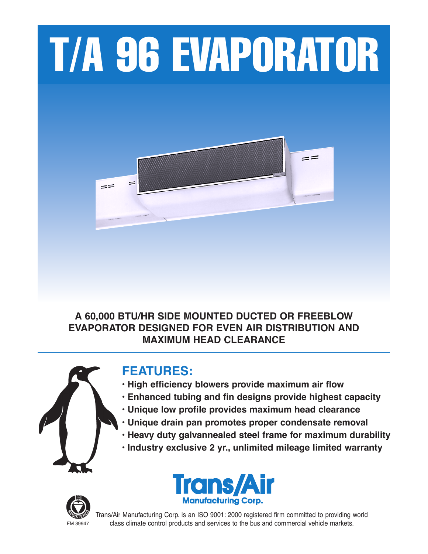# T/A 96 EVAPORATOR



### **A 60,000 BTU/HR SIDE MOUNTED DUCTED OR FREEBLOW EVAPORATOR DESIGNED FOR EVEN AIR DISTRIBUTION AND MAXIMUM HEAD CLEARANCE**



## **FEATURES:**

- **• High efficiency blowers provide maximum air flow**
- **• Enhanced tubing and fin designs provide highest capacity**
- **• Unique low profile provides maximum head clearance**
- **• Unique drain pan promotes proper condensate removal**
- **• Heavy duty galvannealed steel frame for maximum durability**
- **• Industry exclusive 2 yr., unlimited mileage limited warranty**





Trans/Air Manufacturing Corp. is an ISO 9001: 2000 registered firm committed to providing world FM 39947 class climate control products and services to the bus and commercial vehicle markets.